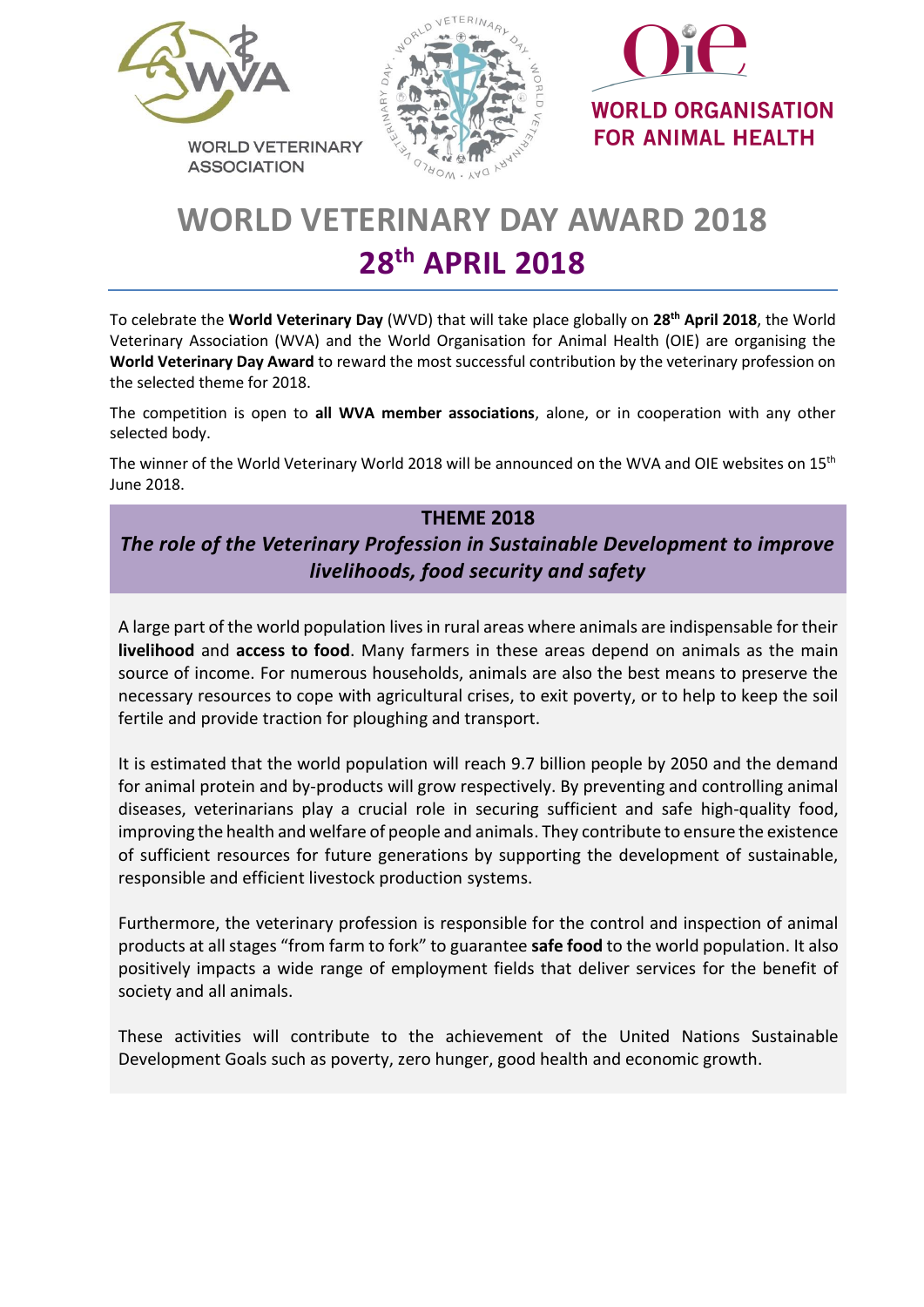

**ASSOCIATION** 





# **WORLD VETERINARY DAY AWARD 2018 28 th APRIL 2018**

To celebrate the **World Veterinary Day** (WVD) that will take place globally on **28 th April 2018**, the World Veterinary Association (WVA) and the World Organisation for Animal Health (OIE) are organising the **World Veterinary Day Award** to reward the most successful contribution by the veterinary profession on the selected theme for 2018.

The competition is open to **all WVA member associations**, alone, or in cooperation with any other selected body.

The winner of the World Veterinary World 2018 will be announced on the WVA and OIE websites on 15<sup>th</sup> June 2018.

## **THEME 2018**

## *The role of the Veterinary Profession in Sustainable Development to improve livelihoods, food security and safety*

A large part of the world population lives in rural areas where animals are indispensable for their **livelihood** and **access to food**. Many farmers in these areas depend on animals as the main source of income. For numerous households, animals are also the best means to preserve the necessary resources to cope with agricultural crises, to exit poverty, or to help to keep the soil fertile and provide traction for ploughing and transport.

It is estimated that the world population will reach 9.7 billion people by 2050 and the demand for animal protein and by-products will grow respectively. By preventing and controlling animal diseases, veterinarians play a crucial role in securing sufficient and safe high-quality food, improving the health and welfare of people and animals. They contribute to ensure the existence of sufficient resources for future generations by supporting the development of sustainable, responsible and efficient livestock production systems.

Furthermore, the veterinary profession is responsible for the control and inspection of animal products at all stages "from farm to fork" to guarantee **safe food** to the world population. It also positively impacts a wide range of employment fields that deliver services for the benefit of society and all animals.

These activities will contribute to the achievement of the United Nations Sustainable Development Goals such as poverty, zero hunger, good health and economic growth.